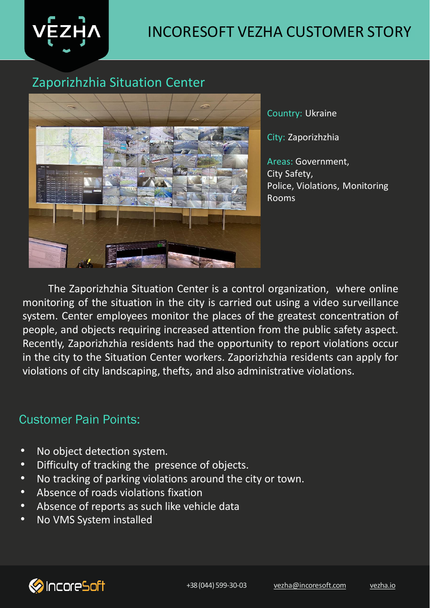

### Zaporizhzhia Situation Center



Country: Ukraine

City: Zaporizhzhia

Areas: Government, City Safety, Police, Violations, Monitoring Rooms

The Zaporizhzhia Situation Center is a control organization, where online monitoring of the situation in the city is carried out using a video surveillance system. Center employees monitor the places of the greatest concentration of people, and objects requiring increased attention from the public safety aspect. Recently, Zaporizhzhia residents had the opportunity to report violations occur in the city to the Situation Center workers. Zaporizhzhia residents can apply for violations of city landscaping, thefts, and also administrative violations.

### Customer Pain Points:

- No object detection system.
- Difficulty of tracking the presence of objects.
- No tracking of parking violations around the city or town.
- Absence of roads violations fixation
- Absence of reports as such like vehicle data
- No VMS System installed

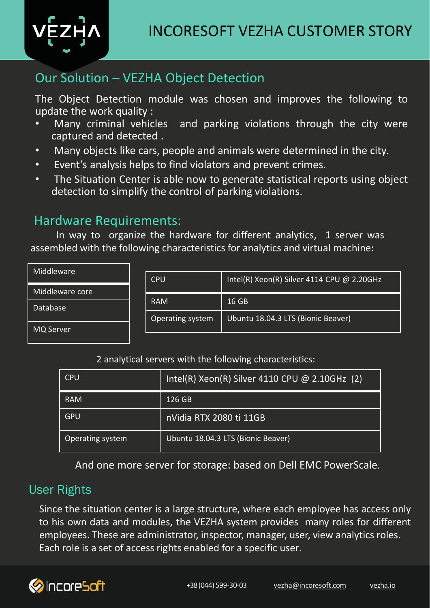

## Our Solution – VEZHA Object Detection

The Object Detection module was chosen and improves the following to update the work quality :<br>• Many criminal vehicles

- and parking violations through the city were captured and detected .
- Many objects like cars, people and animals were determined in the city.
- Event's analysis helps to find violators and prevent crimes.
- detection to simplify the control of parking violations. • The Situation Center is able now to generate statistical reports using object

## Hardware Requirements:

In way to organize the hardware for different analytics, 1 server was assembled with the following characteristics for analytics and virtual machine:

| Middleware      |                  |                                            |  |  |  |  |
|-----------------|------------------|--------------------------------------------|--|--|--|--|
|                 | <b>CPU</b>       | Intel(R) Xeon(R) Silver 4114 CPU @ 2.20GHz |  |  |  |  |
| Middleware core |                  |                                            |  |  |  |  |
|                 | <b>RAM</b>       | 16 GB                                      |  |  |  |  |
| Database        |                  |                                            |  |  |  |  |
|                 | Operating system | Ubuntu 18.04.3 LTS (Bionic Beaver)         |  |  |  |  |
| MQ Server       |                  |                                            |  |  |  |  |
|                 |                  |                                            |  |  |  |  |

#### 2 analytical servers with the following characteristics:

| <b>CPU</b>       | $Intel(R)$ Xeon(R) Silver 4110 CPU @ 2.10GHz (2) |
|------------------|--------------------------------------------------|
| <b>RAM</b>       | 126 GB                                           |
| GPU              | nVidia RTX 2080 ti 11GB                          |
| Operating system | Ubuntu 18.04.3 LTS (Bionic Beaver)               |

And one more server for storage: based on Dell EMC PowerScale.

### User Rights

Since the situation center is a large structure, where each employee has access only to his own data and modules, the VEZHA system provides many roles for different employees. These are administrator, inspector, manager, user, view analytics roles. Each role is a set of access rights enabled for a specific user.

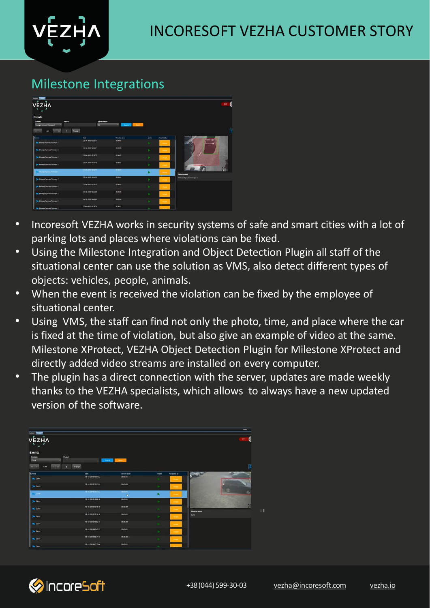# Milestone Integrations

| Analytics Timers<br>г<br><b>VEZHA</b><br>٠             |                     |                    |              |               | 9382                          |
|--------------------------------------------------------|---------------------|--------------------|--------------|---------------|-------------------------------|
| Events<br>Camera<br>Period<br>Номера Зугичко Люрварк 2 | Type of object<br>m | ٠<br><b>Search</b> | <b>Seat</b>  |               |                               |
| 1449<br>$\epsilon$<br>$\sim$                           | To page             |                    |              |               | 僵                             |
| <b>Camera</b>                                          | Date                | Period in zone     | <b>Video</b> | Accepted by   |                               |
| <b>Re However Symmetr Ricerator 2</b>                  | 23-06-2020 17:56:41 | cococs             |              | <b>Access</b> |                               |
| <b>Re-Howepa Jymmed Alconapic 2</b>                    | 23-06-2020 1756x11  | ceces.             | ь            | Accent        |                               |
| Howepa Symmus Accounts: 2                              | 23-06-2020 17:56:35 | cecess             | ×            | <b>Accept</b> |                               |
| Mostpa Jynesia Aconapic 2                              | 23-06-2020 17:56:35 | cecess             | ×            | Access        |                               |
| - Новерх Зачина Летенри 2                              | 23-05-2020 17-54-95 | cooks.             |              | <b>Accept</b> | $\frac{1}{2}$<br>Careera name |
| Har Howapa Syranesa Ficerage: 2                        | 23-06-2020 47:56:35 | 000002             | ъ            | Accept        | Номера Зуенна Лісопаре 2      |
| Howepa Jynessa Alconapic 2                             | 23-06-2020 17:56:35 | ceceos             | ×            | <b>Arrest</b> |                               |
| No Hourpa Synessa Alconapx 2                           | 23-06-2020 17:56:35 | cecess.            | ×            | <b>Accept</b> |                               |
| Max Mosepa Synword Aldonape 2                          | 23-06-2020 17:56:35 | 000002             | ×            | <b>Accept</b> |                               |
| <b>Mourge Tynesis Ficonage 2</b>                       | 23-06-2020 17:56:34 | 000002             |              |               |                               |

- Incoresoft VEZHA works in security systems of safe and smart cities with a lot of parking lots and places where violations can be fixed.
- Using the Milestone Integration and Object Detection Plugin all staff of the situational center can use the solution as VMS, also detect different types of objects: vehicles, people, animals.
- When the event is received the violation can be fixed by the employee of situational center.
- Using VMS, the staff can find not only the photo, time, and place where the car is fixed at the time of violation, but also give an example of video at the same. Milestone XProtect, VEZHA Object Detection Plugin for Milestone XProtect and directly added video streams are installed on every computer.
- The plugin has a direct connection with the server, updates are made weekly thanks to the VEZHA specialists, which allows to always have a new updated version of the software.

| <b>Indian Times</b>                                                          |                     |              |       |             |                           |                                       |
|------------------------------------------------------------------------------|---------------------|--------------|-------|-------------|---------------------------|---------------------------------------|
| <b>v</b> Ęzӊ̀ʌ<br>$\overline{\phantom{a}}$                                   |                     |              |       |             |                           | 271                                   |
| <b>Events</b><br>Camera<br>Period<br>Carol                                   | Search              | <b>Send</b>  |       |             |                           |                                       |
| $\frac{1}{2}$ $\frac{1}{2}$<br>$\mathbf{1}$<br>$\alpha$ , $\alpha$<br>1 of 4 | To page             |              |       |             |                           | 圓                                     |
| Camera                                                                       | Date                | Time in zone | Video | Accepted by |                           | <b><i>FORMANIA 1500</i></b><br>$\sim$ |
| $\mathbf{u}_0$ family                                                        | 13-12-2019 10:54:52 | 000501       | ж     | Accept      |                           |                                       |
| <b>Sections</b>                                                              | 13-12-2019 10:51:59 | 000503       | к     | Acoust      |                           |                                       |
| Co Caroli                                                                    | 15-12-2019 10:47-17 | cossot<br>ь  | ь     | Arrest:     |                           | 66<br>岩                               |
| <b>The Carol</b>                                                             | 13-12-2019 10:20:18 | 0005.01      | ×     | Accept      |                           |                                       |
| <b>Re-Cand</b>                                                               | 13-12-2019 10:19:15 | 000500       | R     | Accept      | inc<br><b>Camers name</b> | t.                                    |
| $\mathbf{S}_{\mathbf{c}}$ and $\mathbf{S}_{\mathbf{c}}$                      | 13-12-2019 10:16:18 | 0005.01      | ×     | Accept      | Camd                      |                                       |
| <b>The Canal</b>                                                             | 13-12-2019 10:02:49 | 00:05:00     | ×     | Accept      |                           |                                       |
| <b>Section</b>                                                               | 13-12-2019 09:45:55 | 00:05:01     | ×     | Accept:     |                           |                                       |
| <b>Re-Cand</b>                                                               | 13-12-2019 09:41:13 | 000500       | Þ.    | Accept      |                           |                                       |
|                                                                              |                     |              |       |             |                           |                                       |